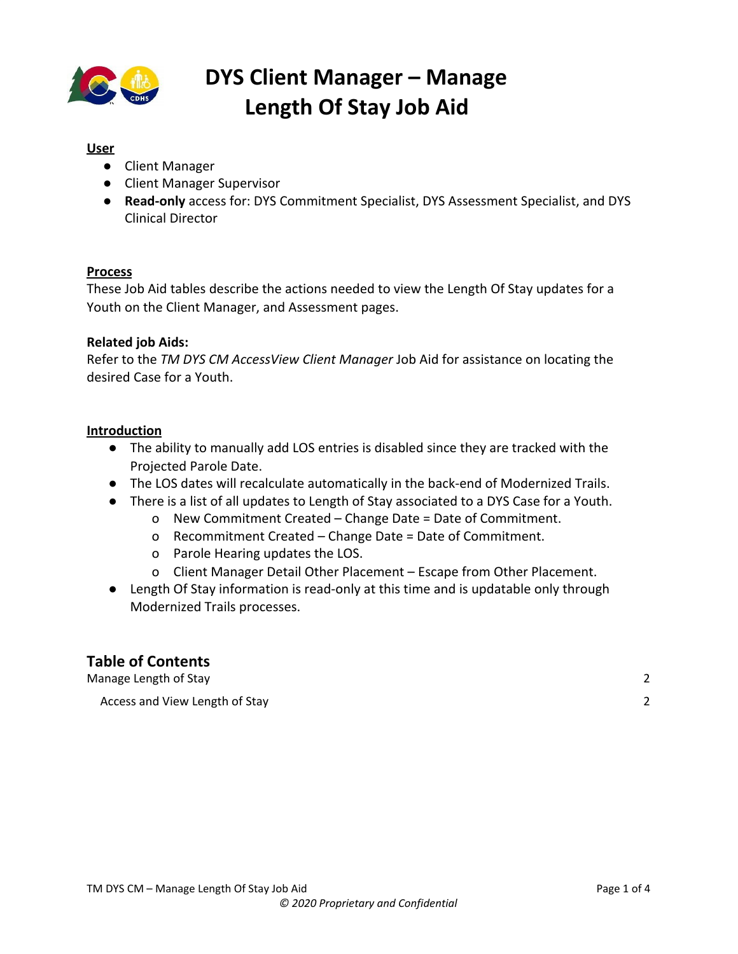

#### **User**

- Client Manager
- Client Manager Supervisor
- **Read-only** access for: DYS Commitment Specialist, DYS Assessment Specialist, and DYS Clinical Director

#### **Process**

These Job Aid tables describe the actions needed to view the Length Of Stay updates for a Youth on the Client Manager, and Assessment pages.

#### **Related job Aids:**

Refer to the *TM DYS CM AccessView Client Manager* Job Aid for assistance on locating the desired Case for a Youth.

#### **Introduction**

- The ability to manually add LOS entries is disabled since they are tracked with the Projected Parole Date.
- The LOS dates will recalculate automatically in the back-end of Modernized Trails.
- There is a list of all updates to Length of Stay associated to a DYS Case for a Youth.
	- o New Commitment Created Change Date = Date of Commitment.
	- o Recommitment Created Change Date = Date of Commitment.
	- o Parole Hearing updates the LOS.
	- o Client Manager Detail Other Placement Escape from Other Placement.
- Length Of Stay information is read-only at this time and is updatable only through Modernized Trails processes.

### **Table of Contents**

[Manage](#page-1-0) Length of Stay [2](#page-1-0) Access and View [Length](#page-1-1) of Stay [2](#page-1-1)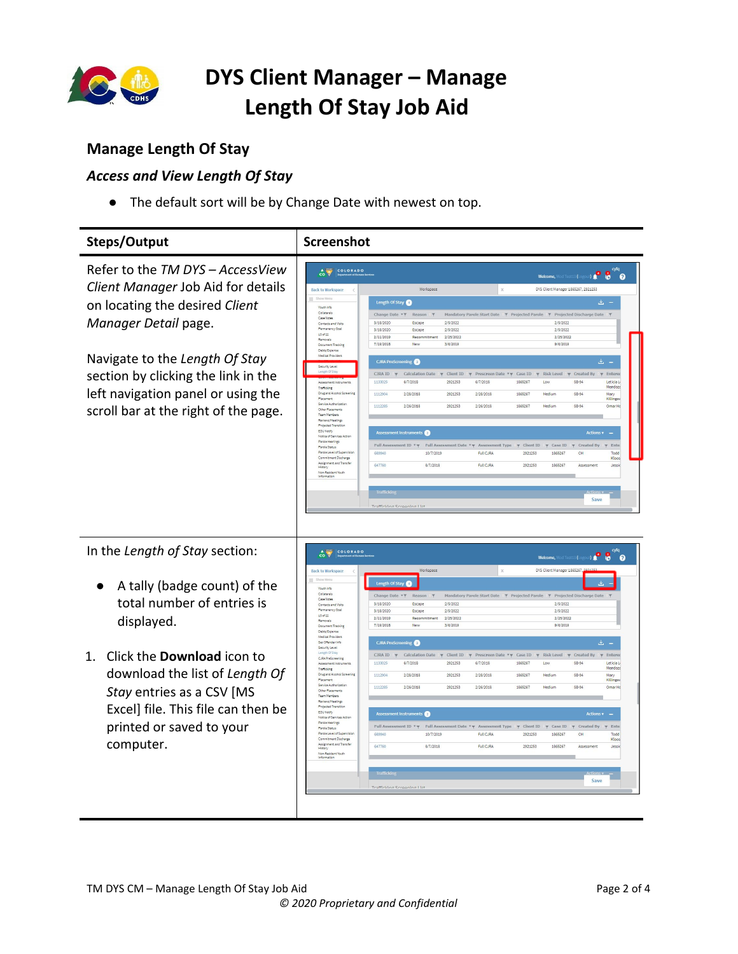

### <span id="page-1-0"></span>**Manage Length Of Stay**

### <span id="page-1-1"></span>*Access and View Length Of Stay*

● The default sort will be by Change Date with newest on top.

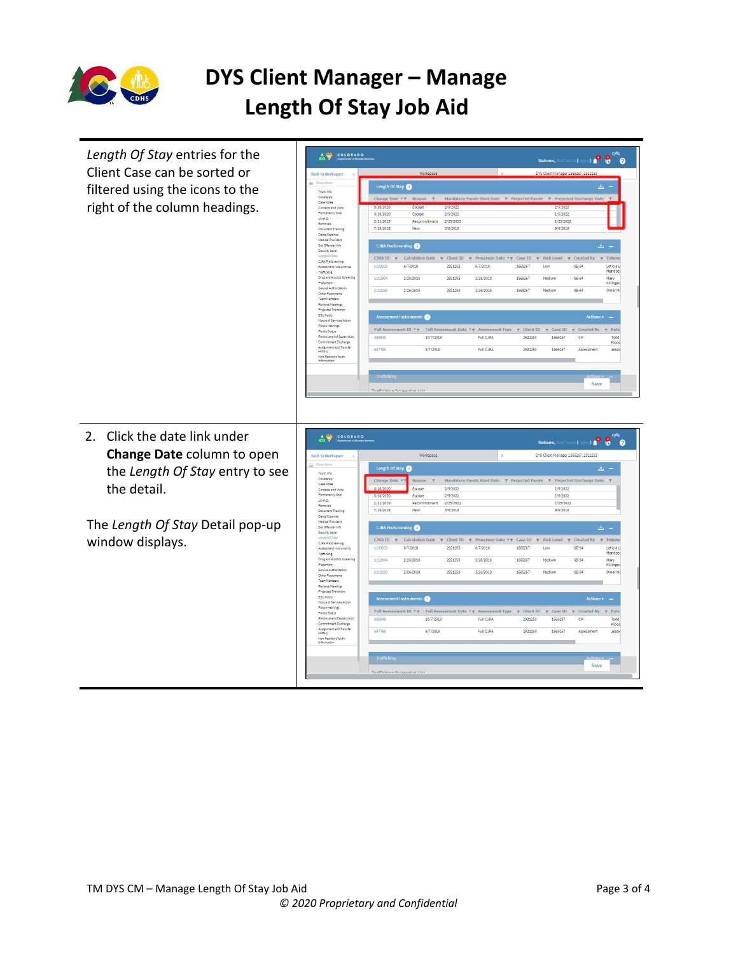